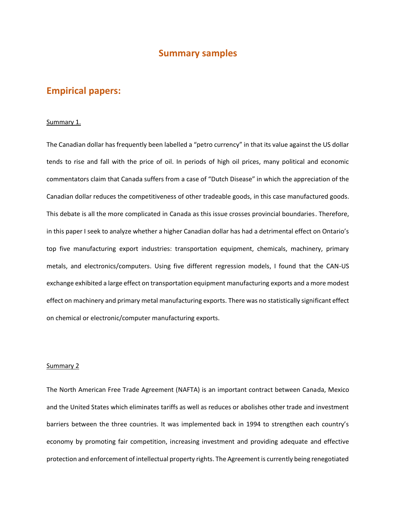## **Summary samples**

# **Empirical papers:**

### Summary 1.

The Canadian dollar has frequently been labelled a "petro currency" in that its value against the US dollar tends to rise and fall with the price of oil. In periods of high oil prices, many political and economic commentators claim that Canada suffers from a case of "Dutch Disease" in which the appreciation of the Canadian dollar reduces the competitiveness of other tradeable goods, in this case manufactured goods. This debate is all the more complicated in Canada as this issue crosses provincial boundaries. Therefore, in this paper I seek to analyze whether a higher Canadian dollar has had a detrimental effect on Ontario's top five manufacturing export industries: transportation equipment, chemicals, machinery, primary metals, and electronics/computers. Using five different regression models, I found that the CAN-US exchange exhibited a large effect on transportation equipment manufacturing exports and a more modest effect on machinery and primary metal manufacturing exports. There was no statistically significant effect on chemical or electronic/computer manufacturing exports.

### Summary 2

The North American Free Trade Agreement (NAFTA) is an important contract between Canada, Mexico and the United States which eliminates tariffs as well as reduces or abolishes other trade and investment barriers between the three countries. It was implemented back in 1994 to strengthen each country's economy by promoting fair competition, increasing investment and providing adequate and effective protection and enforcement of intellectual property rights. The Agreement is currently being renegotiated